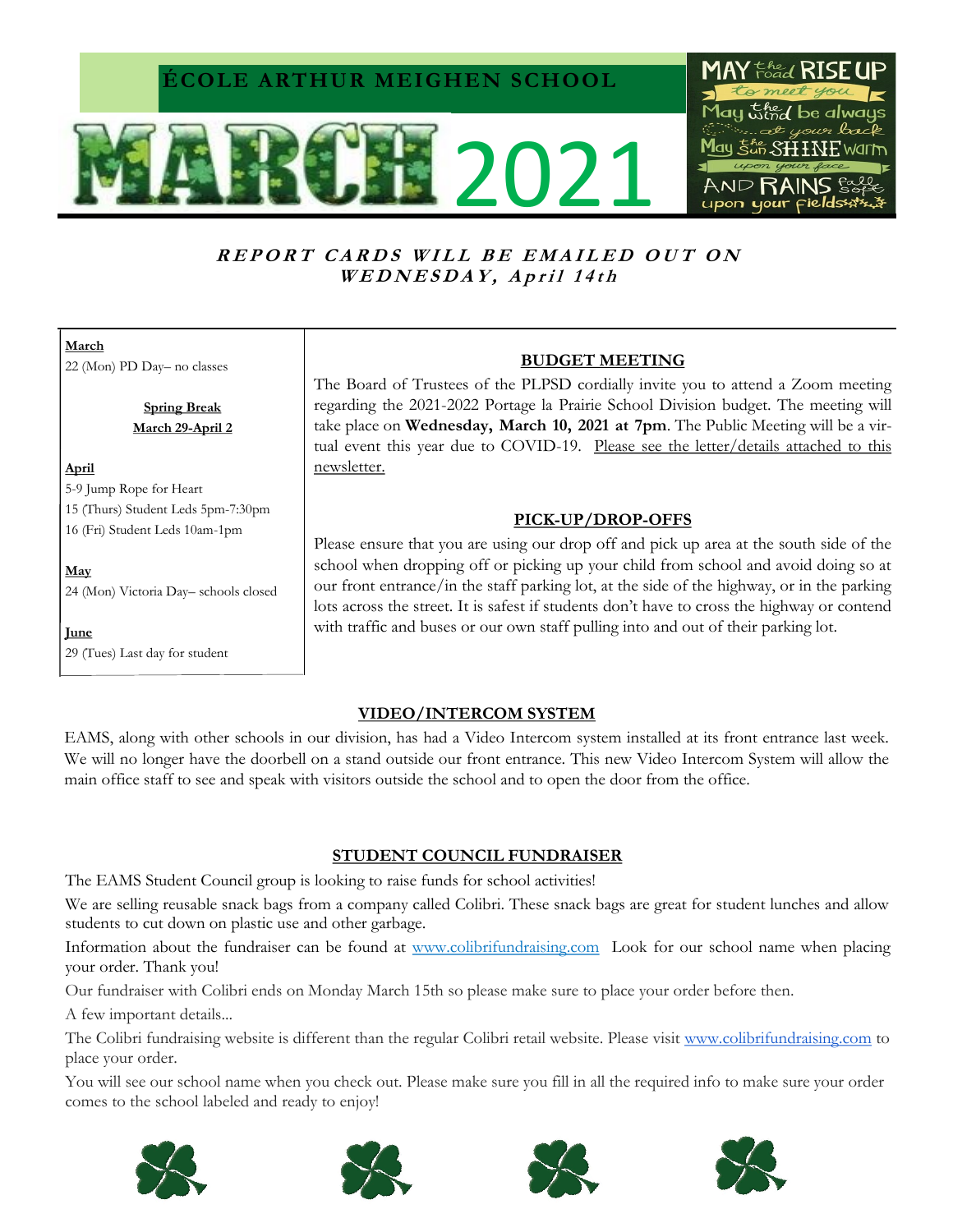## **ÉCOLE ARTHUR MEIGHEN SCHOOL**





## REPORT CARDS WILL BE EMAILED OUT ON WEDNESDAY, April 14th

**March** 22 (Mon) PD Day– no classes

> **Spring Break March 29-April 2**

#### **April**

5-9 Jump Rope for Heart 15 (Thurs) Student Leds 5pm-7:30pm

16 (Fri) Student Leds 10am-1pm

**May** 24 (Mon) Victoria Day– schools closed

**June** 

29 (Tues) Last day for student

## **BUDGET MEETING**

The Board of Trustees of the PLPSD cordially invite you to attend a Zoom meeting regarding the 2021-2022 Portage la Prairie School Division budget. The meeting will take place on **Wednesday, March 10, 2021 at 7pm**. The Public Meeting will be a virtual event this year due to COVID-19. Please see the letter/details attached to this newsletter.

## **PICK-UP/DROP-OFFS**

Please ensure that you are using our drop off and pick up area at the south side of the school when dropping off or picking up your child from school and avoid doing so at our front entrance/in the staff parking lot, at the side of the highway, or in the parking lots across the street. It is safest if students don't have to cross the highway or contend with traffic and buses or our own staff pulling into and out of their parking lot.

## **VIDEO/INTERCOM SYSTEM**

EAMS, along with other schools in our division, has had a Video Intercom system installed at its front entrance last week. We will no longer have the doorbell on a stand outside our front entrance. This new Video Intercom System will allow the main office staff to see and speak with visitors outside the school and to open the door from the office.

## **STUDENT COUNCIL FUNDRAISER**

The EAMS Student Council group is looking to raise funds for school activities!

We are selling reusable snack bags from a company called Colibri. These snack bags are great for student lunches and allow students to cut down on plastic use and other garbage.

Information about the fundraiser can be found at [www.colibrifundraising.com](http://www.colibrifundraising.com) Look for our school name when placing your order. Thank you!

Our fundraiser with Colibri ends on Monday March 15th so please make sure to place your order before then.

A few important details...

The Colibri fundraising website is different than the regular Colibri retail website. Please visit [www.colibrifundraising.com](http://www.colibrifundraising.com/) to place your order.

You will see our school name when you check out. Please make sure you fill in all the required info to make sure your order comes to the school labeled and ready to enjoy!







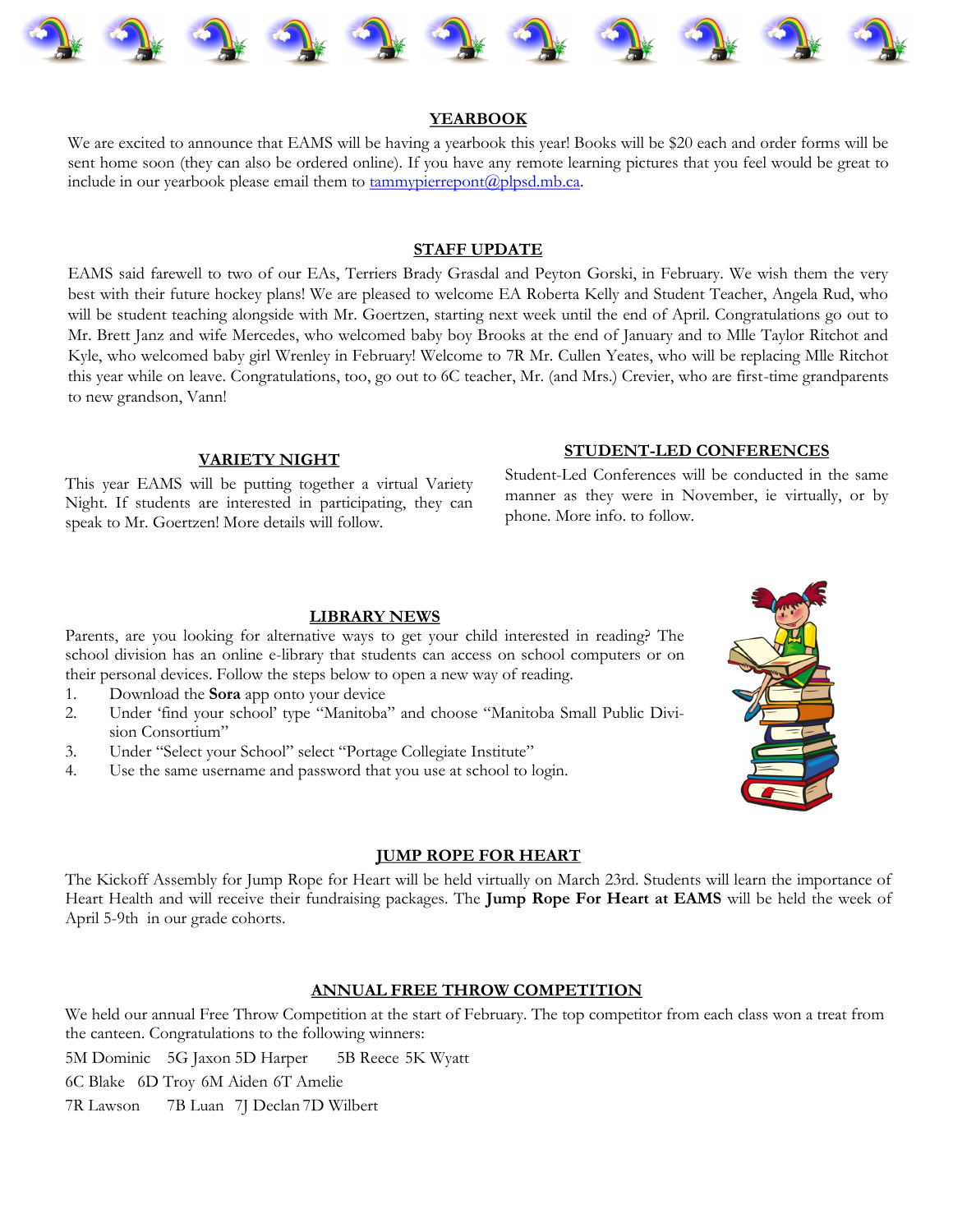

#### **YEARBOOK**

We are excited to announce that EAMS will be having a yearbook this year! Books will be \$20 each and order forms will be sent home soon (they can also be ordered online). If you have any remote learning pictures that you feel would be great to include in our yearbook please email them to  $tammypierreport(Qplpsd.mb.ca.$ </u>

### **STAFF UPDATE**

EAMS said farewell to two of our EAs, Terriers Brady Grasdal and Peyton Gorski, in February. We wish them the very best with their future hockey plans! We are pleased to welcome EA Roberta Kelly and Student Teacher, Angela Rud, who will be student teaching alongside with Mr. Goertzen, starting next week until the end of April. Congratulations go out to Mr. Brett Janz and wife Mercedes, who welcomed baby boy Brooks at the end of January and to Mlle Taylor Ritchot and Kyle, who welcomed baby girl Wrenley in February! Welcome to 7R Mr. Cullen Yeates, who will be replacing Mlle Ritchot this year while on leave. Congratulations, too, go out to 6C teacher, Mr. (and Mrs.) Crevier, who are first-time grandparents to new grandson, Vann!

#### **VARIETY NIGHT**

This year EAMS will be putting together a virtual Variety Night. If students are interested in participating, they can speak to Mr. Goertzen! More details will follow.

#### **STUDENT-LED CONFERENCES**

Student-Led Conferences will be conducted in the same manner as they were in November, ie virtually, or by phone. More info. to follow.

#### **LIBRARY NEWS**

Parents, are you looking for alternative ways to get your child interested in reading? The school division has an online e-library that students can access on school computers or on their personal devices. Follow the steps below to open a new way of reading.

- 1. Download the **Sora** app onto your device
- 2. Under 'find your school' type "Manitoba" and choose "Manitoba Small Public Division Consortium"
- 3. Under "Select your School" select "Portage Collegiate Institute"
- 4. Use the same username and password that you use at school to login.



#### **JUMP ROPE FOR HEART**

The Kickoff Assembly for Jump Rope for Heart will be held virtually on March 23rd. Students will learn the importance of Heart Health and will receive their fundraising packages. The **Jump Rope For Heart at EAMS** will be held the week of April 5-9th in our grade cohorts.

#### **ANNUAL FREE THROW COMPETITION**

We held our annual Free Throw Competition at the start of February. The top competitor from each class won a treat from the canteen. Congratulations to the following winners:

5M Dominic 5G Jaxon 5D Harper 5B Reece 5K Wyatt

6C Blake 6D Troy 6M Aiden 6T Amelie

7R Lawson 7B Luan 7J Declan 7D Wilbert